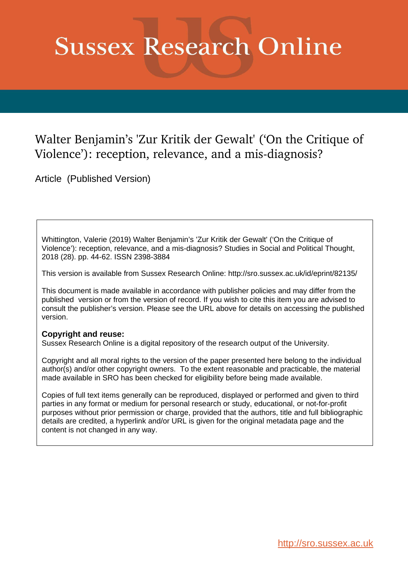## **Sussex Research Online**

### Walter Benjamin's 'Zur Kritik der Gewalt' ('On the Critique of Violence'): reception, relevance, and a mis-diagnosis?

Article (Published Version)

Whittington, Valerie (2019) Walter Benjamin's 'Zur Kritik der Gewalt' ('On the Critique of Violence'): reception, relevance, and a mis-diagnosis? Studies in Social and Political Thought, 2018 (28). pp. 44-62. ISSN 2398-3884

This version is available from Sussex Research Online: http://sro.sussex.ac.uk/id/eprint/82135/

This document is made available in accordance with publisher policies and may differ from the published version or from the version of record. If you wish to cite this item you are advised to consult the publisher's version. Please see the URL above for details on accessing the published version.

#### **Copyright and reuse:**

Sussex Research Online is a digital repository of the research output of the University.

Copyright and all moral rights to the version of the paper presented here belong to the individual author(s) and/or other copyright owners. To the extent reasonable and practicable, the material made available in SRO has been checked for eligibility before being made available.

Copies of full text items generally can be reproduced, displayed or performed and given to third parties in any format or medium for personal research or study, educational, or not-for-profit purposes without prior permission or charge, provided that the authors, title and full bibliographic details are credited, a hyperlink and/or URL is given for the original metadata page and the content is not changed in any way.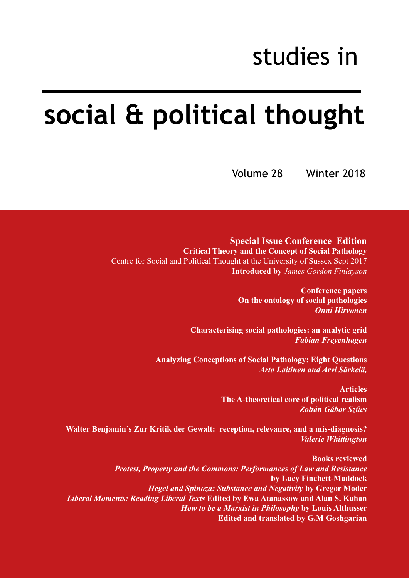## studies in

# **social & political thought**

Volume 28 Winter 2018

**Special Issue Conference Edition Critical Theory and the Concept of Social Pathology** Centre for Social and Political Thought at the University of Sussex Sept 2017 **Introduced by** *James Gordon Finlayson*

> **Conference papers On the ontology of social pathologies** *Onni Hirvonen*

**Characterising social pathologies: an analytic grid** *Fabian Freyenhagen*

**Analyzing Conceptions of Social Pathology: Eight Questions**  *Arto Laitinen and Arvi Särkelä,*

> **Articles The A-theoretical core of political realism** *Zoltán Gábor Szűcs*

**Walter Benjamin's Zur Kritik der Gewalt: reception, relevance, and a mis-diagnosis?**  *Valerie Whittington*

**Books reviewed** *Protest, Property and the Commons: Performances of Law and Resistance*  **by Lucy Finchett-Maddock** *Hegel and Spinoza: Substance and Negativity* **by Gregor Moder** *Liberal Moments: Reading Liberal Texts* **Edited by Ewa Atanassow and Alan S. Kahan** *How to be a Marxist in Philosophy* **by Louis Althusser Edited and translated by G.M Goshgarian**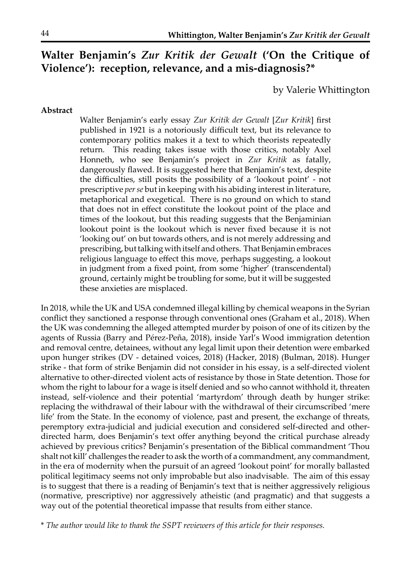### **Walter Benjamin's** *Zur Kritik der Gewalt* **('On the Critique of Violence'): reception, relevance, and a mis-diagnosis?\***

by Valerie Whittington

#### **Abstract**

Walter Benjamin's early essay *Zur Kritik der Gewalt* [*Zur Kritik*] first published in 1921 is a notoriously difficult text, but its relevance to contemporary politics makes it a text to which theorists repeatedly return. This reading takes issue with those critics, notably Axel Honneth, who see Benjamin's project in *Zur Kritik* as fatally, dangerously flawed. It is suggested here that Benjamin's text, despite the difficulties, still posits the possibility of a 'lookout point' - not prescriptive *per se* but in keeping with his abiding interest in literature, metaphorical and exegetical. There is no ground on which to stand that does not in effect constitute the lookout point of the place and times of the lookout, but this reading suggests that the Benjaminian lookout point is the lookout which is never fixed because it is not 'looking out' on but towards others, and is not merely addressing and prescribing, but talking with itself and others. That Benjamin embraces religious language to effect this move, perhaps suggesting, a lookout in judgment from a fixed point, from some 'higher' (transcendental) ground, certainly might be troubling for some, but it will be suggested these anxieties are misplaced.

In 2018, while the UK and USA condemned illegal killing by chemical weapons in the Syrian conflict they sanctioned a response through conventional ones (Graham et al., 2018). When the UK was condemning the alleged attempted murder by poison of one of its citizen by the agents of Russia (Barry and Pérez-Peña, 2018), inside Yarl's Wood immigration detention and removal centre, detainees, without any legal limit upon their detention were embarked upon hunger strikes (DV - detained voices, 2018) (Hacker, 2018) (Bulman, 2018). Hunger strike - that form of strike Benjamin did not consider in his essay, is a self-directed violent alternative to other-directed violent acts of resistance by those in State detention. Those for whom the right to labour for a wage is itself denied and so who cannot withhold it, threaten instead, self-violence and their potential 'martyrdom' through death by hunger strike: replacing the withdrawal of their labour with the withdrawal of their circumscribed 'mere life' from the State. In the economy of violence, past and present, the exchange of threats, peremptory extra-judicial and judicial execution and considered self-directed and otherdirected harm, does Benjamin's text offer anything beyond the critical purchase already achieved by previous critics? Benjamin's presentation of the Biblical commandment 'Thou shalt not kill' challenges the reader to ask the worth of a commandment, any commandment, in the era of modernity when the pursuit of an agreed 'lookout point' for morally ballasted political legitimacy seems not only improbable but also inadvisable. The aim of this essay is to suggest that there is a reading of Benjamin's text that is neither aggressively religious (normative, prescriptive) nor aggressively atheistic (and pragmatic) and that suggests a way out of the potential theoretical impasse that results from either stance.

\* *The author would like to thank the SSPT reviewers of this article for their responses.*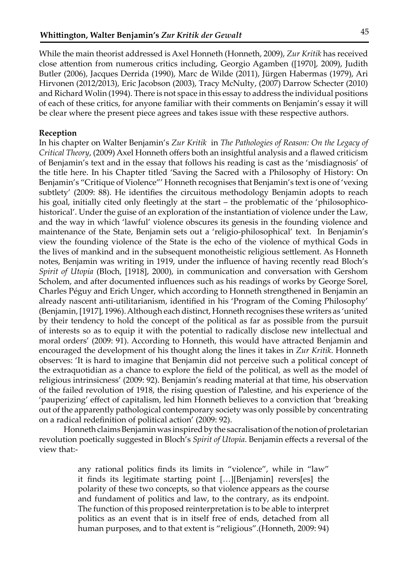While the main theorist addressed is Axel Honneth (Honneth, 2009), *Zur Kritik* has received close attention from numerous critics including, Georgio Agamben ([1970], 2009), Judith Butler (2006), Jacques Derrida (1990), Marc de Wilde (2011), Jürgen Habermas (1979), Ari Hirvonen (2012/2013), Eric Jacobson (2003), Tracy McNulty, (2007) Darrow Schecter (2010) and Richard Wolin (1994). There is not space in this essay to address the individual positions of each of these critics, for anyone familiar with their comments on Benjamin's essay it will be clear where the present piece agrees and takes issue with these respective authors.

#### **Reception**

In his chapter on Walter Benjamin's *Zur Kritik* in *The Pathologies of Reason: On the Legacy of Critical Theory*, (2009) Axel Honneth offers both an insightful analysis and a flawed criticism of Benjamin's text and in the essay that follows his reading is cast as the 'misdiagnosis' of the title here. In his Chapter titled 'Saving the Sacred with a Philosophy of History: On Benjamin's "Critique of Violence"' Honneth recognises that Benjamin's text is one of 'vexing subtlety' (2009: 88). He identifies the circuitous methodology Benjamin adopts to reach his goal, initially cited only fleetingly at the start – the problematic of the 'philosophicohistorical'. Under the guise of an exploration of the instantiation of violence under the Law, and the way in which 'lawful' violence obscures its genesis in the founding violence and maintenance of the State, Benjamin sets out a 'religio-philosophical' text. In Benjamin's view the founding violence of the State is the echo of the violence of mythical Gods in the lives of mankind and in the subsequent monotheistic religious settlement. As Honneth notes, Benjamin was writing in 1919, under the influence of having recently read Bloch's *Spirit of Utopia* (Bloch, [1918], 2000), in communication and conversation with Gershom Scholem, and after documented influences such as his readings of works by George Sorel, Charles Péguy and Erich Unger, which according to Honneth strengthened in Benjamin an already nascent anti-utilitarianism, identified in his 'Program of the Coming Philosophy' (Benjamin, [1917], 1996). Although each distinct, Honneth recognises these writers as 'united by their tendency to hold the concept of the political as far as possible from the pursuit of interests so as to equip it with the potential to radically disclose new intellectual and moral orders' (2009: 91). According to Honneth, this would have attracted Benjamin and encouraged the development of his thought along the lines it takes in *Zur Kritik*. Honneth observes: 'It is hard to imagine that Benjamin did not perceive such a political concept of the extraquotidian as a chance to explore the field of the political, as well as the model of religious intrinsicness' (2009: 92). Benjamin's reading material at that time, his observation of the failed revolution of 1918, the rising question of Palestine, and his experience of the 'pauperizing' effect of capitalism, led him Honneth believes to a conviction that 'breaking out of the apparently pathological contemporary society was only possible by concentrating on a radical redefinition of political action' (2009: 92).

Honneth claims Benjamin was inspired by the sacralisation of the notion of proletarian revolution poetically suggested in Bloch's *Spirit of Utopia*. Benjamin effects a reversal of the view that:-

> any rational politics finds its limits in "violence", while in "law" it finds its legitimate starting point […][Benjamin] revers[es] the polarity of these two concepts, so that violence appears as the course and fundament of politics and law, to the contrary, as its endpoint. The function of this proposed reinterpretation is to be able to interpret politics as an event that is in itself free of ends, detached from all human purposes, and to that extent is "religious".(Honneth, 2009: 94)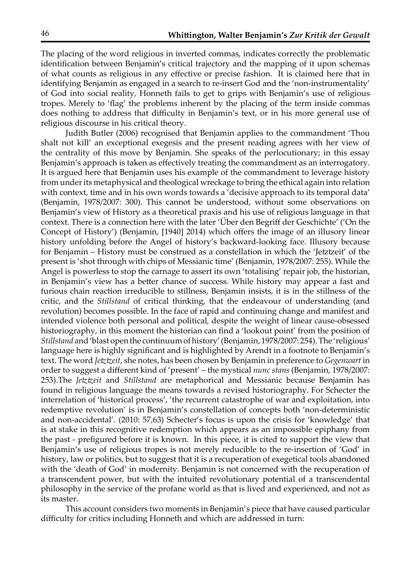The placing of the word religious in inverted commas, indicates correctly the problematic identification between Benjamin's critical trajectory and the mapping of it upon schemas of what counts as religious in any effective or precise fashion. It is claimed here that in identifying Benjamin as engaged in a search to re-insert God and the 'non-instrumentality' of God into social reality, Honneth fails to get to grips with Benjamin's use of religious tropes. Merely to 'flag' the problems inherent by the placing of the term inside commas does nothing to address that difficulty in Benjamin's text, or in his more general use of religious discourse in his critical theory.

Judith Butler (2006) recognised that Benjamin applies to the commandment 'Thou shalt not kill' an exceptional exegesis and the present reading agrees with her view of the centrality of this move by Benjamin. She speaks of the perlocutionary; in this essay Benjamin's approach is taken as effectively treating the commandment as an interrogatory. It is argued here that Benjamin uses his example of the commandment to leverage history from under its metaphysical and theological wreckage to bring the ethical again into relation with context, time and in his own words towards a 'decisive approach to its temporal data' (Benjamin, 1978/2007: 300). This cannot be understood, without some observations on Benjamin's view of History as a theoretical praxis and his use of religious language in that context. There is a connection here with the later 'Über den Begriff der Geschichte' ('On the Concept of History') (Benjamin, [1940] 2014) which offers the image of an illusory linear history unfolding before the Angel of history's backward-looking face. Illusory because for Benjamin – History must be construed as a constellation in which the 'Jetztzeit' of the present is 'shot through with chips of Messianic time' (Benjamin, 1978/2007: 255). While the Angel is powerless to stop the carnage to assert its own 'totalising' repair job, the historian, in Benjamin's view has a better chance of success. While history may appear a fast and furious chain reaction irreducible to stillness, Benjamin insists, it is in the stillness of the critic, and the *Stillstand* of critical thinking, that the endeavour of understanding (and revolution) becomes possible. In the face of rapid and continuing change and manifest and intended violence both personal and political, despite the weight of linear cause-obsessed historiography, in this moment the historian can find a 'lookout point' from the position of *Stillstand* and 'blast open the continuum of history' (Benjamin, 1978/2007: 254). The 'religious' language here is highly significant and is highlighted by Arendt in a footnote to Benjamin's text. The word *Jetztzeit*, she notes, has been chosen by Benjamin in preference to *Gegenwart* in order to suggest a different kind of 'present' – the mystical *nunc stans* (Benjamin, 1978/2007: 253).The *Jetztzeit* and *Stillstand* are metaphorical and Messianic because Benjamin has found in religious language the means towards a revised historiography. For Schecter the interrelation of 'historical process', 'the recurrent catastrophe of war and exploitation, into redemptive revolution' is in Benjamin's constellation of concepts both 'non-deterministic and non-accidental'. (2010: 57,63) Schecter's focus is upon the crisis for 'knowledge' that is at stake in this recognitive redemption which appears as an impossible epiphany from the past - prefigured before it is known. In this piece, it is cited to support the view that Benjamin's use of religious tropes is not merely reducible to the re-insertion of 'God' in history, law or politics, but to suggest that it is a recuperation of exegetical tools abandoned with the 'death of God' in modernity. Benjamin is not concerned with the recuperation of a transcendent power, but with the intuited revolutionary potential of a transcendental philosophy in the service of the profane world as that is lived and experienced, and not as its master.

This account considers two moments in Benjamin's piece that have caused particular difficulty for critics including Honneth and which are addressed in turn: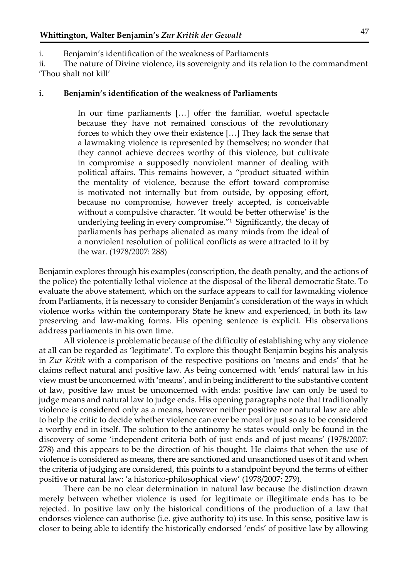i. Benjamin's identification of the weakness of Parliaments

ii. The nature of Divine violence, its sovereignty and its relation to the commandment 'Thou shalt not kill'

#### **i. Benjamin's identification of the weakness of Parliaments**

In our time parliaments […] offer the familiar, woeful spectacle because they have not remained conscious of the revolutionary forces to which they owe their existence […] They lack the sense that a lawmaking violence is represented by themselves; no wonder that they cannot achieve decrees worthy of this violence, but cultivate in compromise a supposedly nonviolent manner of dealing with political affairs. This remains however, a "product situated within the mentality of violence, because the effort toward compromise is motivated not internally but from outside, by opposing effort, because no compromise, however freely accepted, is conceivable without a compulsive character. 'It would be better otherwise' is the underlying feeling in every compromise."1 Significantly, the decay of parliaments has perhaps alienated as many minds from the ideal of a nonviolent resolution of political conflicts as were attracted to it by the war. (1978/2007: 288)

Benjamin explores through his examples (conscription, the death penalty, and the actions of the police) the potentially lethal violence at the disposal of the liberal democratic State. To evaluate the above statement, which on the surface appears to call for lawmaking violence from Parliaments, it is necessary to consider Benjamin's consideration of the ways in which violence works within the contemporary State he knew and experienced, in both its law preserving and law-making forms. His opening sentence is explicit. His observations address parliaments in his own time.

 All violence is problematic because of the difficulty of establishing why any violence at all can be regarded as 'legitimate'. To explore this thought Benjamin begins his analysis in *Zur Kritik* with a comparison of the respective positions on 'means and ends' that he claims reflect natural and positive law. As being concerned with 'ends' natural law in his view must be unconcerned with 'means', and in being indifferent to the substantive content of law, positive law must be unconcerned with ends: positive law can only be used to judge means and natural law to judge ends. His opening paragraphs note that traditionally violence is considered only as a means, however neither positive nor natural law are able to help the critic to decide whether violence can ever be moral or just so as to be considered a worthy end in itself. The solution to the antinomy he states would only be found in the discovery of some 'independent criteria both of just ends and of just means' (1978/2007: 278) and this appears to be the direction of his thought. He claims that when the use of violence is considered as means, there are sanctioned and unsanctioned uses of it and when the criteria of judging are considered, this points to a standpoint beyond the terms of either positive or natural law: 'a historico-philosophical view' (1978/2007: 279).

 There can be no clear determination in natural law because the distinction drawn merely between whether violence is used for legitimate or illegitimate ends has to be rejected. In positive law only the historical conditions of the production of a law that endorses violence can authorise (i.e. give authority to) its use. In this sense, positive law is closer to being able to identify the historically endorsed 'ends' of positive law by allowing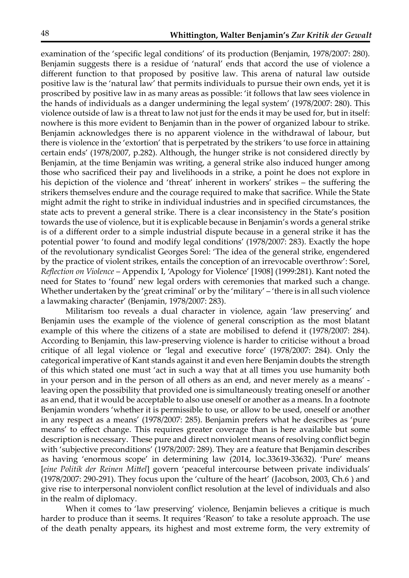examination of the 'specific legal conditions' of its production (Benjamin, 1978/2007: 280). Benjamin suggests there is a residue of 'natural' ends that accord the use of violence a different function to that proposed by positive law. This arena of natural law outside positive law is the 'natural law' that permits individuals to pursue their own ends, yet it is proscribed by positive law in as many areas as possible: 'it follows that law sees violence in the hands of individuals as a danger undermining the legal system' (1978/2007: 280). This violence outside of law is a threat to law not just for the ends it may be used for, but in itself: nowhere is this more evident to Benjamin than in the power of organized labour to strike. Benjamin acknowledges there is no apparent violence in the withdrawal of labour, but there is violence in the 'extortion' that is perpetrated by the strikers 'to use force in attaining certain ends' (1978/2007, p.282). Although, the hunger strike is not considered directly by Benjamin, at the time Benjamin was writing, a general strike also induced hunger among those who sacrificed their pay and livelihoods in a strike, a point he does not explore in his depiction of the violence and 'threat' inherent in workers' strikes – the suffering the strikers themselves endure and the courage required to make that sacrifice. While the State might admit the right to strike in individual industries and in specified circumstances, the state acts to prevent a general strike. There is a clear inconsistency in the State's position towards the use of violence, but it is explicable because in Benjamin's words a general strike is of a different order to a simple industrial dispute because in a general strike it has the potential power 'to found and modify legal conditions' (1978/2007: 283). Exactly the hope of the revolutionary syndicalist Georges Sorel: 'The idea of the general strike, engendered by the practice of violent strikes, entails the conception of an irrevocable overthrow': Sorel, *Reflection on Violence* – Appendix I, 'Apology for Violence' [1908] (1999:281). Kant noted the need for States to 'found' new legal orders with ceremonies that marked such a change. Whether undertaken by the 'great criminal' or by the 'military' – 'there is in all such violence a lawmaking character' (Benjamin, 1978/2007: 283).

Militarism too reveals a dual character in violence, again 'law preserving' and Benjamin uses the example of the violence of general conscription as the most blatant example of this where the citizens of a state are mobilised to defend it (1978/2007: 284). According to Benjamin, this law-preserving violence is harder to criticise without a broad critique of all legal violence or 'legal and executive force' (1978/2007: 284). Only the categorical imperative of Kant stands against it and even here Benjamin doubts the strength of this which stated one must 'act in such a way that at all times you use humanity both in your person and in the person of all others as an end, and never merely as a means' leaving open the possibility that provided one is simultaneously treating oneself or another as an end, that it would be acceptable to also use oneself or another as a means. In a footnote Benjamin wonders 'whether it is permissible to use, or allow to be used, oneself or another in any respect as a means' (1978/2007: 285). Benjamin prefers what he describes as 'pure means' to effect change. This requires greater coverage than is here available but some description is necessary. These pure and direct nonviolent means of resolving conflict begin with 'subjective preconditions' (1978/2007: 289). They are a feature that Benjamin describes as having 'enormous scope' in determining law (2014, loc.33619-33632). 'Pure' means [*eine Politik der Reinen Mittel*] govern 'peaceful intercourse between private individuals' (1978/2007: 290-291). They focus upon the 'culture of the heart' (Jacobson, 2003, Ch.6 ) and give rise to interpersonal nonviolent conflict resolution at the level of individuals and also in the realm of diplomacy.

When it comes to 'law preserving' violence, Benjamin believes a critique is much harder to produce than it seems. It requires 'Reason' to take a resolute approach. The use of the death penalty appears, its highest and most extreme form, the very extremity of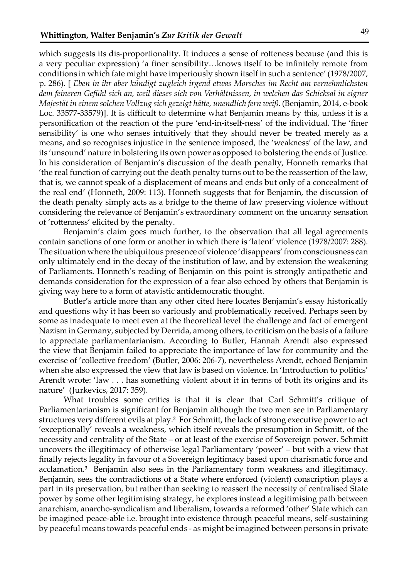which suggests its dis-proportionality. It induces a sense of rotteness because (and this is a very peculiar expression) 'a finer sensibility…knows itself to be infinitely remote from conditions in which fate might have imperiously shown itself in such a sentence' (1978/2007, p. 286). [ *Eben in ihr aber kündigt zugleich irgend etwas Morsches im Recht am vernehmlichsten dem feineren Gefühl sich an, weil dieses sich von Verhältnissen, in welchen das Schicksal in eigner Majestät in einem solchen Vollzug sich gezeigt hätte, unendlich fern weiß*. (Benjamin, 2014, e-book Loc. 33577-33579)]. It is difficult to determine what Benjamin means by this, unless it is a personification of the reaction of the pure 'end-in-itself-ness' of the individual. The 'finer sensibility' is one who senses intuitively that they should never be treated merely as a means, and so recognises injustice in the sentence imposed, the 'weakness' of the law, and its 'unsound' nature in bolstering its own power as opposed to bolstering the ends of Justice. In his consideration of Benjamin's discussion of the death penalty, Honneth remarks that 'the real function of carrying out the death penalty turns out to be the reassertion of the law, that is, we cannot speak of a displacement of means and ends but only of a concealment of the real end' (Honneth, 2009: 113). Honneth suggests that for Benjamin, the discussion of the death penalty simply acts as a bridge to the theme of law preserving violence without considering the relevance of Benjamin's extraordinary comment on the uncanny sensation of 'rottenness' elicited by the penalty.

Benjamin's claim goes much further, to the observation that all legal agreements contain sanctions of one form or another in which there is 'latent' violence (1978/2007: 288). The situation where the ubiquitous presence of violence 'disappears' from consciousness can only ultimately end in the decay of the institution of law, and by extension the weakening of Parliaments. Honneth's reading of Benjamin on this point is strongly antipathetic and demands consideration for the expression of a fear also echoed by others that Benjamin is giving way here to a form of atavistic antidemocratic thought.

Butler's article more than any other cited here locates Benjamin's essay historically and questions why it has been so variously and problematically received. Perhaps seen by some as inadequate to meet even at the theoretical level the challenge and fact of emergent Nazism in Germany, subjected by Derrida, among others, to criticism on the basis of a failure to appreciate parliamentarianism. According to Butler, Hannah Arendt also expressed the view that Benjamin failed to appreciate the importance of law for community and the exercise of 'collective freedom' (Butler, 2006: 206-7), nevertheless Arendt, echoed Benjamin when she also expressed the view that law is based on violence. In 'Introduction to politics' Arendt wrote: 'law . . . has something violent about it in terms of both its origins and its nature' (Jurkevics, 2017: 359).

What troubles some critics is that it is clear that Carl Schmitt's critique of Parliamentarianism is significant for Benjamin although the two men see in Parliamentary structures very different evils at play.² For Schmitt, the lack of strong executive power to act 'exceptionally' reveals a weakness, which itself reveals the presumption in Schmitt, of the necessity and centrality of the State – or at least of the exercise of Sovereign power. Schmitt uncovers the illegitimacy of otherwise legal Parliamentary 'power' – but with a view that finally rejects legality in favour of a Sovereign legitimacy based upon charismatic force and acclamation.³ Benjamin also sees in the Parliamentary form weakness and illegitimacy. Benjamin, sees the contradictions of a State where enforced (violent) conscription plays a part in its preservation, but rather than seeking to reassert the necessity of centralised State power by some other legitimising strategy, he explores instead a legitimising path between anarchism, anarcho-syndicalism and liberalism, towards a reformed 'other' State which can be imagined peace-able i.e. brought into existence through peaceful means, self-sustaining by peaceful means towards peaceful ends - as might be imagined between persons in private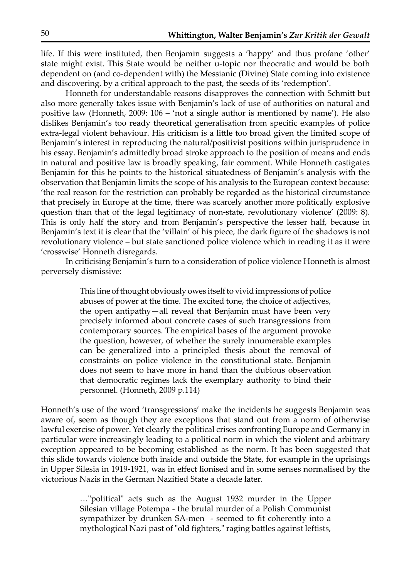life. If this were instituted, then Benjamin suggests a 'happy' and thus profane 'other' state might exist. This State would be neither u-topic nor theocratic and would be both dependent on (and co-dependent with) the Messianic (Divine) State coming into existence and discovering, by a critical approach to the past, the seeds of its 'redemption'.

 Honneth for understandable reasons disapproves the connection with Schmitt but also more generally takes issue with Benjamin's lack of use of authorities on natural and positive law (Honneth, 2009: 106 – 'not a single author is mentioned by name'). He also dislikes Benjamin's too ready theoretical generalisation from specific examples of police extra-legal violent behaviour. His criticism is a little too broad given the limited scope of Benjamin's interest in reproducing the natural/positivist positions within jurisprudence in his essay. Benjamin's admittedly broad stroke approach to the position of means and ends in natural and positive law is broadly speaking, fair comment. While Honneth castigates Benjamin for this he points to the historical situatedness of Benjamin's analysis with the observation that Benjamin limits the scope of his analysis to the European context because: 'the real reason for the restriction can probably be regarded as the historical circumstance that precisely in Europe at the time, there was scarcely another more politically explosive question than that of the legal legitimacy of non-state, revolutionary violence' (2009: 8). This is only half the story and from Benjamin's perspective the lesser half, because in Benjamin's text it is clear that the 'villain' of his piece, the dark figure of the shadows is not revolutionary violence – but state sanctioned police violence which in reading it as it were 'crosswise' Honneth disregards.

In criticising Benjamin's turn to a consideration of police violence Honneth is almost perversely dismissive:

> This line of thought obviously owes itself to vivid impressions of police abuses of power at the time. The excited tone, the choice of adjectives, the open antipathy—all reveal that Benjamin must have been very precisely informed about concrete cases of such transgressions from contemporary sources. The empirical bases of the argument provoke the question, however, of whether the surely innumerable examples can be generalized into a principled thesis about the removal of constraints on police violence in the constitutional state. Benjamin does not seem to have more in hand than the dubious observation that democratic regimes lack the exemplary authority to bind their personnel. (Honneth, 2009 p.114)

Honneth's use of the word 'transgressions' make the incidents he suggests Benjamin was aware of, seem as though they are exceptions that stand out from a norm of otherwise lawful exercise of power. Yet clearly the political crises confronting Europe and Germany in particular were increasingly leading to a political norm in which the violent and arbitrary exception appeared to be becoming established as the norm. It has been suggested that this slide towards violence both inside and outside the State, for example in the uprisings in Upper Silesia in 1919-1921, was in effect lionised and in some senses normalised by the victorious Nazis in the German Nazified State a decade later.

> …"political" acts such as the August 1932 murder in the Upper Silesian village Potempa - the brutal murder of a Polish Communist sympathizer by drunken SA-men - seemed to fit coherently into a mythological Nazi past of "old fighters," raging battles against leftists,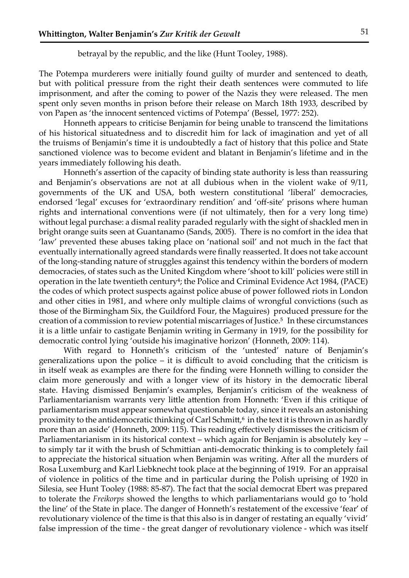betrayal by the republic, and the like (Hunt Tooley, 1988).

The Potempa murderers were initially found guilty of murder and sentenced to death, but with political pressure from the right their death sentences were commuted to life imprisonment, and after the coming to power of the Nazis they were released. The men spent only seven months in prison before their release on March 18th 1933, described by von Papen as 'the innocent sentenced victims of Potempa' (Bessel, 1977: 252).

Honneth appears to criticise Benjamin for being unable to transcend the limitations of his historical situatedness and to discredit him for lack of imagination and yet of all the truisms of Benjamin's time it is undoubtedly a fact of history that this police and State sanctioned violence was to become evident and blatant in Benjamin's lifetime and in the years immediately following his death.

Honneth's assertion of the capacity of binding state authority is less than reassuring and Benjamin's observations are not at all dubious when in the violent wake of 9/11, governments of the UK and USA, both western constitutional 'liberal' democracies, endorsed 'legal' excuses for 'extraordinary rendition' and 'off-site' prisons where human rights and international conventions were (if not ultimately, then for a very long time) without legal purchase: a dismal reality paraded regularly with the sight of shackled men in bright orange suits seen at Guantanamo (Sands, 2005). There is no comfort in the idea that 'law' prevented these abuses taking place on 'national soil' and not much in the fact that eventually internationally agreed standards were finally reasserted. It does not take account of the long-standing nature of struggles against this tendency within the borders of modern democracies, of states such as the United Kingdom where 'shoot to kill' policies were still in operation in the late twentieth century<sup>4</sup>; the Police and Criminal Evidence Act 1984, (PACE) the codes of which protect suspects against police abuse of power followed riots in London and other cities in 1981, and where only multiple claims of wrongful convictions (such as those of the Birmingham Six, the Guildford Four, the Maguires) produced pressure for the creation of a commission to review potential miscarriages of Justice.<sup>5</sup> In these circumstances it is a little unfair to castigate Benjamin writing in Germany in 1919, for the possibility for democratic control lying 'outside his imaginative horizon' (Honneth, 2009: 114).

With regard to Honneth's criticism of the 'untested' nature of Benjamin's generalizations upon the police – it is difficult to avoid concluding that the criticism is in itself weak as examples are there for the finding were Honneth willing to consider the claim more generously and with a longer view of its history in the democratic liberal state. Having dismissed Benjamin's examples, Benjamin's criticism of the weakness of Parliamentarianism warrants very little attention from Honneth: 'Even if this critique of parliamentarism must appear somewhat questionable today, since it reveals an astonishing proximity to the antidemocratic thinking of Carl Schmitt, $\delta$  in the text it is thrown in as hardly more than an aside' (Honneth, 2009: 115). This reading effectively dismisses the criticism of Parliamentarianism in its historical context – which again for Benjamin is absolutely key – to simply tar it with the brush of Schmittian anti-democratic thinking is to completely fail to appreciate the historical situation when Benjamin was writing. After all the murders of Rosa Luxemburg and Karl Liebknecht took place at the beginning of 1919. For an appraisal of violence in politics of the time and in particular during the Polish uprising of 1920 in Silesia, see Hunt Tooley (1988: 85-87). The fact that the social democrat Ebert was prepared to tolerate the *Freikorps* showed the lengths to which parliamentarians would go to 'hold the line' of the State in place. The danger of Honneth's restatement of the excessive 'fear' of revolutionary violence of the time is that this also is in danger of restating an equally 'vivid' false impression of the time - the great danger of revolutionary violence - which was itself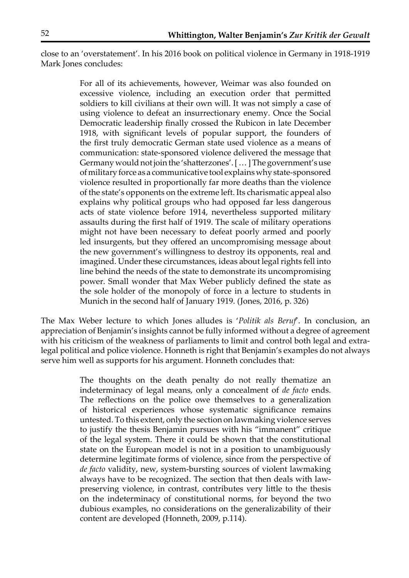close to an 'overstatement'. In his 2016 book on political violence in Germany in 1918-1919 Mark Jones concludes:

> For all of its achievements, however, Weimar was also founded on excessive violence, including an execution order that permitted soldiers to kill civilians at their own will. It was not simply a case of using violence to defeat an insurrectionary enemy. Once the Social Democratic leadership finally crossed the Rubicon in late December 1918, with significant levels of popular support, the founders of the first truly democratic German state used violence as a means of communication: state-sponsored violence delivered the message that Germany would not join the 'shatterzones'. [ … ] The government's use of military force as a communicative tool explains why state-sponsored violence resulted in proportionally far more deaths than the violence of the state's opponents on the extreme left. Its charismatic appeal also explains why political groups who had opposed far less dangerous acts of state violence before 1914, nevertheless supported military assaults during the first half of 1919. The scale of military operations might not have been necessary to defeat poorly armed and poorly led insurgents, but they offered an uncompromising message about the new government's willingness to destroy its opponents, real and imagined. Under these circumstances, ideas about legal rights fell into line behind the needs of the state to demonstrate its uncompromising power. Small wonder that Max Weber publicly defined the state as the sole holder of the monopoly of force in a lecture to students in Munich in the second half of January 1919. (Jones, 2016, p. 326)

The Max Weber lecture to which Jones alludes is '*Politik als Beruf*'. In conclusion, an appreciation of Benjamin's insights cannot be fully informed without a degree of agreement with his criticism of the weakness of parliaments to limit and control both legal and extralegal political and police violence. Honneth is right that Benjamin's examples do not always serve him well as supports for his argument. Honneth concludes that:

> The thoughts on the death penalty do not really thematize an indeterminacy of legal means, only a concealment of *de facto* ends. The reflections on the police owe themselves to a generalization of historical experiences whose systematic significance remains untested. To this extent, only the section on lawmaking violence serves to justify the thesis Benjamin pursues with his "immanent" critique of the legal system. There it could be shown that the constitutional state on the European model is not in a position to unambiguously determine legitimate forms of violence, since from the perspective of *de facto* validity, new, system-bursting sources of violent lawmaking always have to be recognized. The section that then deals with lawpreserving violence, in contrast, contributes very little to the thesis on the indeterminacy of constitutional norms, for beyond the two dubious examples, no considerations on the generalizability of their content are developed (Honneth, 2009, p.114).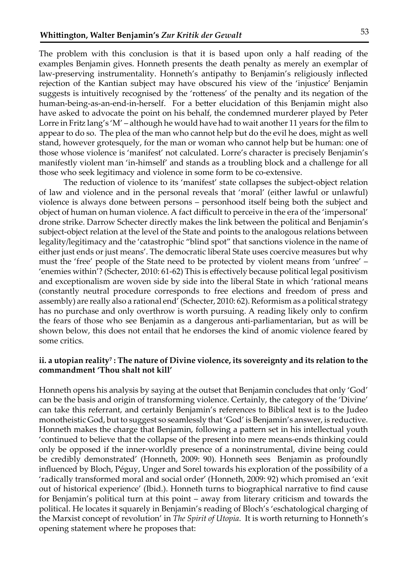The problem with this conclusion is that it is based upon only a half reading of the examples Benjamin gives. Honneth presents the death penalty as merely an exemplar of law-preserving instrumentality. Honneth's antipathy to Benjamin's religiously inflected rejection of the Kantian subject may have obscured his view of the 'injustice' Benjamin suggests is intuitively recognised by the 'rotteness' of the penalty and its negation of the human-being-as-an-end-in-herself. For a better elucidation of this Benjamin might also have asked to advocate the point on his behalf, the condemned murderer played by Peter Lorre in Fritz lang's 'M' – although he would have had to wait another 11 years for the film to appear to do so. The plea of the man who cannot help but do the evil he does, might as well stand, however grotesquely, for the man or woman who cannot help but be human: one of those whose violence is 'manifest' not calculated. Lorre's character is precisely Benjamin's manifestly violent man 'in-himself' and stands as a troubling block and a challenge for all those who seek legitimacy and violence in some form to be co-extensive.

The reduction of violence to its 'manifest' state collapses the subject-object relation of law and violence and in the personal reveals that 'moral' (either lawful or unlawful) violence is always done between persons – personhood itself being both the subject and object of human on human violence. A fact difficult to perceive in the era of the 'impersonal' drone strike. Darrow Schecter directly makes the link between the political and Benjamin's subject-object relation at the level of the State and points to the analogous relations between legality/legitimacy and the 'catastrophic "blind spot" that sanctions violence in the name of either just ends or just means'. The democratic liberal State uses coercive measures but why must the 'free' people of the State need to be protected by violent means from 'unfree' – 'enemies within'? (Schecter, 2010: 61-62) This is effectively because political legal positivism and exceptionalism are woven side by side into the liberal State in which 'rational means (constantly neutral procedure corresponds to free elections and freedom of press and assembly) are really also a rational end' (Schecter, 2010: 62). Reformism as a political strategy has no purchase and only overthrow is worth pursuing. A reading likely only to confirm the fears of those who see Benjamin as a dangerous anti-parliamentarian, but as will be shown below, this does not entail that he endorses the kind of anomic violence feared by some critics.

#### ii. a utopian reality<sup>7</sup>: The nature of Divine violence, its sovereignty and its relation to the **commandment 'Thou shalt not kill'**

Honneth opens his analysis by saying at the outset that Benjamin concludes that only 'God' can be the basis and origin of transforming violence. Certainly, the category of the 'Divine' can take this referrant, and certainly Benjamin's references to Biblical text is to the Judeo monotheistic God, but to suggest so seamlessly that 'God' is Benjamin's answer, is reductive. Honneth makes the charge that Benjamin, following a pattern set in his intellectual youth 'continued to believe that the collapse of the present into mere means-ends thinking could only be opposed if the inner-worldly presence of a noninstrumental, divine being could be credibly demonstrated' (Honneth, 2009: 90). Honneth sees Benjamin as profoundly influenced by Bloch, Péguy, Unger and Sorel towards his exploration of the possibility of a 'radically transformed moral and social order' (Honneth, 2009: 92) which promised an 'exit out of historical experience' (Ibid.). Honneth turns to biographical narrative to find cause for Benjamin's political turn at this point – away from literary criticism and towards the political. He locates it squarely in Benjamin's reading of Bloch's 'eschatological charging of the Marxist concept of revolution' in *The Spirit of Utopia*. It is worth returning to Honneth's opening statement where he proposes that: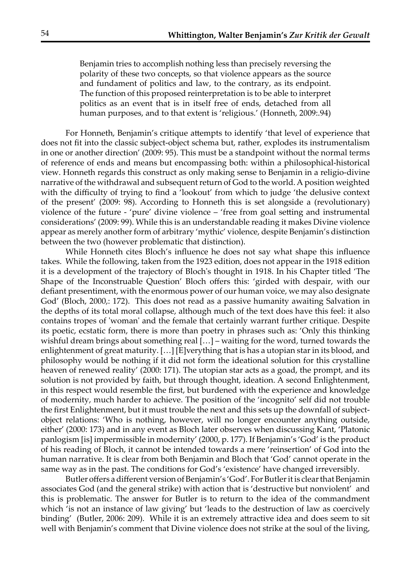Benjamin tries to accomplish nothing less than precisely reversing the polarity of these two concepts, so that violence appears as the source and fundament of politics and law, to the contrary, as its endpoint. The function of this proposed reinterpretation is to be able to interpret politics as an event that is in itself free of ends, detached from all human purposes, and to that extent is 'religious.' (Honneth, 2009:.94)

 For Honneth, Benjamin's critique attempts to identify 'that level of experience that does not fit into the classic subject-object schema but, rather, explodes its instrumentalism in one or another direction' (2009: 95). This must be a standpoint without the normal terms of reference of ends and means but encompassing both: within a philosophical-historical view. Honneth regards this construct as only making sense to Benjamin in a religio-divine narrative of the withdrawal and subsequent return of God to the world. A position weighted with the difficulty of trying to find a 'lookout' from which to judge 'the delusive context of the present' (2009: 98). According to Honneth this is set alongside a (revolutionary) violence of the future - 'pure' divine violence – 'free from goal setting and instrumental considerations' (2009: 99). While this is an understandable reading it makes Divine violence appear as merely another form of arbitrary 'mythic' violence, despite Benjamin's distinction between the two (however problematic that distinction).

 While Honneth cites Bloch's influence he does not say what shape this influence takes. While the following, taken from the 1923 edition, does not appear in the 1918 edition it is a development of the trajectory of Bloch's thought in 1918. In his Chapter titled 'The Shape of the Inconstruable Question' Bloch offers this: 'girded with despair, with our defiant presentiment, with the enormous power of our human voice, we may also designate God' (Bloch, 2000,: 172). This does not read as a passive humanity awaiting Salvation in the depths of its total moral collapse, although much of the text does have this feel: it also contains tropes of 'woman' and the female that certainly warrant further critique. Despite its poetic, ecstatic form, there is more than poetry in phrases such as: 'Only this thinking wishful dream brings about something real […] – waiting for the word, turned towards the enlightenment of great maturity. […] [E]verything that is has a utopian star in its blood, and philosophy would be nothing if it did not form the ideational solution for this crystalline heaven of renewed reality' (2000: 171). The utopian star acts as a goad, the prompt, and its solution is not provided by faith, but through thought, ideation. A second Enlightenment, in this respect would resemble the first, but burdened with the experience and knowledge of modernity, much harder to achieve. The position of the 'incognito' self did not trouble the first Enlightenment, but it must trouble the next and this sets up the downfall of subjectobject relations: 'Who is nothing, however, will no longer encounter anything outside, either' (2000: 173) and in any event as Bloch later observes when discussing Kant, 'Platonic panlogism [is] impermissible in modernity' (2000, p. 177). If Benjamin's 'God' is the product of his reading of Bloch, it cannot be intended towards a mere 'reinsertion' of God into the human narrative. It is clear from both Benjamin and Bloch that 'God' cannot operate in the same way as in the past. The conditions for God's 'existence' have changed irreversibly.

Butler offers a different version of Benjamin's 'God'. For Butler it is clear that Benjamin associates God (and the general strike) with action that is 'destructive but nonviolent' and this is problematic. The answer for Butler is to return to the idea of the commandment which 'is not an instance of law giving' but 'leads to the destruction of law as coercively binding' (Butler, 2006: 209). While it is an extremely attractive idea and does seem to sit well with Benjamin's comment that Divine violence does not strike at the soul of the living,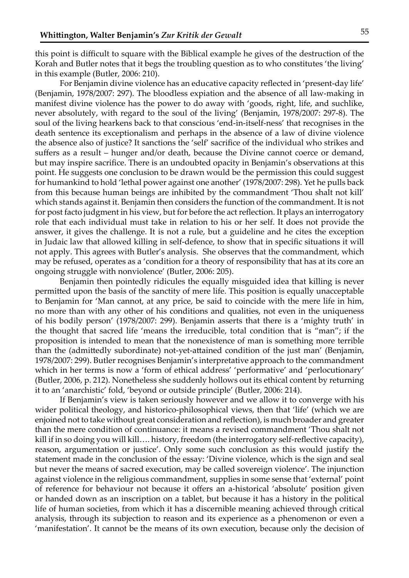this point is difficult to square with the Biblical example he gives of the destruction of the Korah and Butler notes that it begs the troubling question as to who constitutes 'the living' in this example (Butler, 2006: 210).

For Benjamin divine violence has an educative capacity reflected in 'present-day life' (Benjamin, 1978/2007: 297). The bloodless expiation and the absence of all law-making in manifest divine violence has the power to do away with 'goods, right, life, and suchlike, never absolutely, with regard to the soul of the living' (Benjamin, 1978/2007: 297-8). The soul of the living hearkens back to that conscious 'end-in-itself-ness' that recognises in the death sentence its exceptionalism and perhaps in the absence of a law of divine violence the absence also of justice? It sanctions the 'self' sacrifice of the individual who strikes and suffers as a result – hunger and/or death, because the Divine cannot coerce or demand, but may inspire sacrifice. There is an undoubted opacity in Benjamin's observations at this point. He suggests one conclusion to be drawn would be the permission this could suggest for humankind to hold 'lethal power against one another' (1978/2007: 298). Yet he pulls back from this because human beings are inhibited by the commandment 'Thou shalt not kill' which stands against it. Benjamin then considers the function of the commandment. It is not for post facto judgment in his view, but for before the act reflection. It plays an interrogatory role that each individual must take in relation to his or her self. It does not provide the answer, it gives the challenge. It is not a rule, but a guideline and he cites the exception in Judaic law that allowed killing in self-defence, to show that in specific situations it will not apply. This agrees with Butler's analysis. She observes that the commandment, which may be refused, operates as a 'condition for a theory of responsibility that has at its core an ongoing struggle with nonviolence' (Butler, 2006: 205).

Benjamin then pointedly ridicules the equally misguided idea that killing is never permitted upon the basis of the sanctity of mere life. This position is equally unacceptable to Benjamin for 'Man cannot, at any price, be said to coincide with the mere life in him, no more than with any other of his conditions and qualities, not even in the uniqueness of his bodily person' (1978/2007: 299). Benjamin asserts that there is a 'mighty truth' in the thought that sacred life 'means the irreducible, total condition that is "man"; if the proposition is intended to mean that the nonexistence of man is something more terrible than the (admittedly subordinate) not-yet-attained condition of the just man' (Benjamin, 1978/2007: 299). Butler recognises Benjamin's interpretative approach to the commandment which in her terms is now a 'form of ethical address' 'performative' and 'perlocutionary' (Butler, 2006, p. 212). Nonetheless she suddenly hollows out its ethical content by returning it to an 'anarchistic' fold, 'beyond or outside principle' (Butler, 2006: 214).

If Benjamin's view is taken seriously however and we allow it to converge with his wider political theology, and historico-philosophical views, then that 'life' (which we are enjoined not to take without great consideration and reflection), is much broader and greater than the mere condition of continuance: it means a revised commandment 'Thou shalt not kill if in so doing you will kill…. history, freedom (the interrogatory self-reflective capacity), reason, argumentation or justice'. Only some such conclusion as this would justify the statement made in the conclusion of the essay: 'Divine violence, which is the sign and seal but never the means of sacred execution, may be called sovereign violence'. The injunction against violence in the religious commandment, supplies in some sense that 'external' point of reference for behaviour not because it offers an a-historical 'absolute' position given or handed down as an inscription on a tablet, but because it has a history in the political life of human societies, from which it has a discernible meaning achieved through critical analysis, through its subjection to reason and its experience as a phenomenon or even a 'manifestation'. It cannot be the means of its own execution, because only the decision of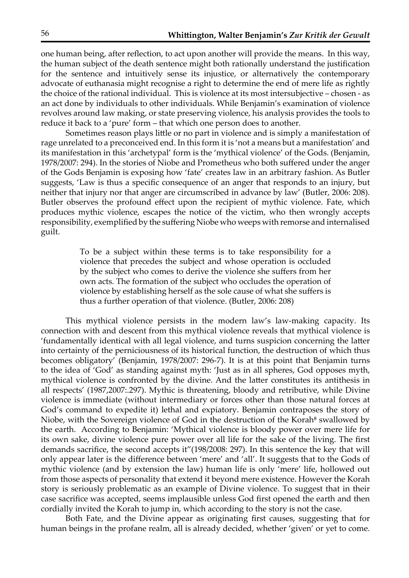one human being, after reflection, to act upon another will provide the means. In this way, the human subject of the death sentence might both rationally understand the justification for the sentence and intuitively sense its injustice, or alternatively the contemporary advocate of euthanasia might recognise a right to determine the end of mere life as rightly the choice of the rational individual. This is violence at its most intersubjective – chosen - as an act done by individuals to other individuals. While Benjamin's examination of violence revolves around law making, or state preserving violence, his analysis provides the tools to reduce it back to a 'pure' form – that which one person does to another.

Sometimes reason plays little or no part in violence and is simply a manifestation of rage unrelated to a preconceived end. In this form it is 'not a means but a manifestation' and its manifestation in this 'archetypal' form is the 'mythical violence' of the Gods. (Benjamin, 1978/2007: 294). In the stories of Niobe and Prometheus who both suffered under the anger of the Gods Benjamin is exposing how 'fate' creates law in an arbitrary fashion. As Butler suggests, 'Law is thus a specific consequence of an anger that responds to an injury, but neither that injury nor that anger are circumscribed in advance by law' (Butler, 2006: 208). Butler observes the profound effect upon the recipient of mythic violence. Fate, which produces mythic violence, escapes the notice of the victim, who then wrongly accepts responsibility, exemplified by the suffering Niobe who weeps with remorse and internalised guilt.

> To be a subject within these terms is to take responsibility for a violence that precedes the subject and whose operation is occluded by the subject who comes to derive the violence she suffers from her own acts. The formation of the subject who occludes the operation of violence by establishing herself as the sole cause of what she suffers is thus a further operation of that violence. (Butler, 2006: 208)

This mythical violence persists in the modern law's law-making capacity. Its connection with and descent from this mythical violence reveals that mythical violence is 'fundamentally identical with all legal violence, and turns suspicion concerning the latter into certainty of the perniciousness of its historical function, the destruction of which thus becomes obligatory' (Benjamin, 1978/2007: 296-7). It is at this point that Benjamin turns to the idea of 'God' as standing against myth: 'Just as in all spheres, God opposes myth, mythical violence is confronted by the divine. And the latter constitutes its antithesis in all respects' (1987,2007:.297). Mythic is threatening, bloody and retributive, while Divine violence is immediate (without intermediary or forces other than those natural forces at God's command to expedite it) lethal and expiatory. Benjamin contraposes the story of Niobe, with the Sovereign violence of God in the destruction of the Korah<sup>§</sup> swallowed by the earth. According to Benjamin: 'Mythical violence is bloody power over mere life for its own sake, divine violence pure power over all life for the sake of the living. The first demands sacrifice, the second accepts it"(198/2008: 297). In this sentence the key that will only appear later is the difference between 'mere' and 'all'. It suggests that to the Gods of mythic violence (and by extension the law) human life is only 'mere' life, hollowed out from those aspects of personality that extend it beyond mere existence. However the Korah story is seriously problematic as an example of Divine violence. To suggest that in their case sacrifice was accepted, seems implausible unless God first opened the earth and then cordially invited the Korah to jump in, which according to the story is not the case.

Both Fate, and the Divine appear as originating first causes, suggesting that for human beings in the profane realm, all is already decided, whether 'given' or yet to come.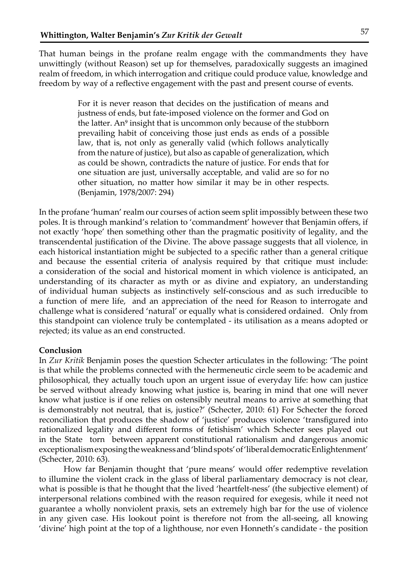That human beings in the profane realm engage with the commandments they have unwittingly (without Reason) set up for themselves, paradoxically suggests an imagined realm of freedom, in which interrogation and critique could produce value, knowledge and freedom by way of a reflective engagement with the past and present course of events.

> For it is never reason that decides on the justification of means and justness of ends, but fate-imposed violence on the former and God on the latter. An<sup>9</sup> insight that is uncommon only because of the stubborn prevailing habit of conceiving those just ends as ends of a possible law, that is, not only as generally valid (which follows analytically from the nature of justice), but also as capable of generalization, which as could be shown, contradicts the nature of justice. For ends that for one situation are just, universally acceptable, and valid are so for no other situation, no matter how similar it may be in other respects. (Benjamin, 1978/2007: 294)

In the profane 'human' realm our courses of action seem split impossibly between these two poles. It is through mankind's relation to 'commandment' however that Benjamin offers, if not exactly 'hope' then something other than the pragmatic positivity of legality, and the transcendental justification of the Divine. The above passage suggests that all violence, in each historical instantiation might be subjected to a specific rather than a general critique and because the essential criteria of analysis required by that critique must include: a consideration of the social and historical moment in which violence is anticipated, an understanding of its character as myth or as divine and expiatory, an understanding of individual human subjects as instinctively self-conscious and as such irreducible to a function of mere life, and an appreciation of the need for Reason to interrogate and challenge what is considered 'natural' or equally what is considered ordained. Only from this standpoint can violence truly be contemplated - its utilisation as a means adopted or rejected; its value as an end constructed.

#### **Conclusion**

In *Zur Kritik* Benjamin poses the question Schecter articulates in the following: 'The point is that while the problems connected with the hermeneutic circle seem to be academic and philosophical, they actually touch upon an urgent issue of everyday life: how can justice be served without already knowing what justice is, bearing in mind that one will never know what justice is if one relies on ostensibly neutral means to arrive at something that is demonstrably not neutral, that is, justice?' (Schecter, 2010: 61) For Schecter the forced reconciliation that produces the shadow of 'justice' produces violence 'transfigured into rationalized legality and different forms of fetishism' which Schecter sees played out in the State torn between apparent constitutional rationalism and dangerous anomic exceptionalism exposing the weakness and 'blind spots' of 'liberal democratic Enlightenment' (Schecter, 2010: 63).

How far Benjamin thought that 'pure means' would offer redemptive revelation to illumine the violent crack in the glass of liberal parliamentary democracy is not clear, what is possible is that he thought that the lived 'heartfelt-ness' (the subjective element) of interpersonal relations combined with the reason required for exegesis, while it need not guarantee a wholly nonviolent praxis, sets an extremely high bar for the use of violence in any given case. His lookout point is therefore not from the all-seeing, all knowing 'divine' high point at the top of a lighthouse, nor even Honneth's candidate - the position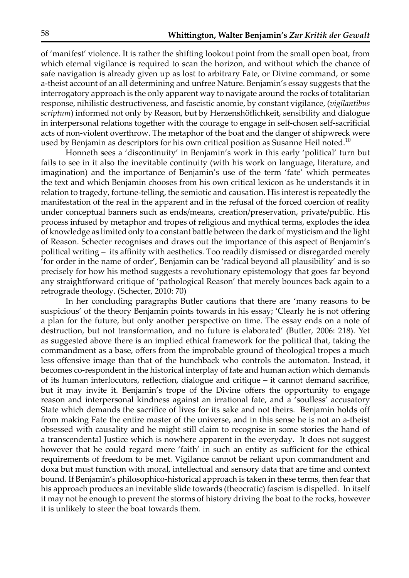of 'manifest' violence. It is rather the shifting lookout point from the small open boat, from which eternal vigilance is required to scan the horizon, and without which the chance of safe navigation is already given up as lost to arbitrary Fate, or Divine command, or some a-theist account of an all determining and unfree Nature. Benjamin's essay suggests that the interrogatory approach is the only apparent way to navigate around the rocks of totalitarian response, nihilistic destructiveness, and fascistic anomie, by constant vigilance, (*vigilantibus scriptum*) informed not only by Reason, but by Herzenshöflichkeit, sensibility and dialogue in interpersonal relations together with the courage to engage in self-chosen self-sacrificial acts of non-violent overthrow. The metaphor of the boat and the danger of shipwreck were used by Benjamin as descriptors for his own critical position as Susanne Heil noted.<sup>10</sup>

Honneth sees a 'discontinuity' in Benjamin's work in this early 'political' turn but fails to see in it also the inevitable continuity (with his work on language, literature, and imagination) and the importance of Benjamin's use of the term 'fate' which permeates the text and which Benjamin chooses from his own critical lexicon as he understands it in relation to tragedy, fortune-telling, the semiotic and causation. His interest is repeatedly the manifestation of the real in the apparent and in the refusal of the forced coercion of reality under conceptual banners such as ends/means, creation/preservation, private/public. His process infused by metaphor and tropes of religious and mythical terms, explodes the idea of knowledge as limited only to a constant battle between the dark of mysticism and the light of Reason. Schecter recognises and draws out the importance of this aspect of Benjamin's political writing – its affinity with aesthetics. Too readily dismissed or disregarded merely 'for order in the name of order', Benjamin can be 'radical beyond all plausibility' and is so precisely for how his method suggests a revolutionary epistemology that goes far beyond any straightforward critique of 'pathological Reason' that merely bounces back again to a retrograde theology. (Schecter, 2010: 70)

In her concluding paragraphs Butler cautions that there are 'many reasons to be suspicious' of the theory Benjamin points towards in his essay; 'Clearly he is not offering a plan for the future, but only another perspective on time. The essay ends on a note of destruction, but not transformation, and no future is elaborated' (Butler, 2006: 218). Yet as suggested above there is an implied ethical framework for the political that, taking the commandment as a base, offers from the improbable ground of theological tropes a much less offensive image than that of the hunchback who controls the automaton. Instead, it becomes co-respondent in the historical interplay of fate and human action which demands of its human interlocutors, reflection, dialogue and critique – it cannot demand sacrifice, but it may invite it. Benjamin's trope of the Divine offers the opportunity to engage reason and interpersonal kindness against an irrational fate, and a 'soulless' accusatory State which demands the sacrifice of lives for its sake and not theirs. Benjamin holds off from making Fate the entire master of the universe, and in this sense he is not an a-theist obsessed with causality and he might still claim to recognise in some stories the hand of a transcendental Justice which is nowhere apparent in the everyday. It does not suggest however that he could regard mere 'faith' in such an entity as sufficient for the ethical requirements of freedom to be met. Vigilance cannot be reliant upon commandment and doxa but must function with moral, intellectual and sensory data that are time and context bound. If Benjamin's philosophico-historical approach is taken in these terms, then fear that his approach produces an inevitable slide towards (theocratic) fascism is dispelled. In itself it may not be enough to prevent the storms of history driving the boat to the rocks, however it is unlikely to steer the boat towards them.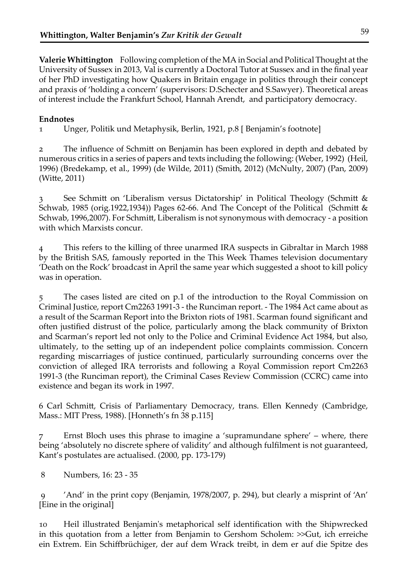**Valerie Whittington** Following completion of the MA in Social and Political Thought at the University of Sussex in 2013, Val is currently a Doctoral Tutor at Sussex and in the final year of her PhD investigating how Quakers in Britain engage in politics through their concept and praxis of 'holding a concern' (supervisors: D.Schecter and S.Sawyer). Theoretical areas of interest include the Frankfurt School, Hannah Arendt, and participatory democracy.

#### **Endnotes**

1 Unger, Politik und Metaphysik, Berlin, 1921, p.8 [ Benjamin's footnote]

2 The influence of Schmitt on Benjamin has been explored in depth and debated by numerous critics in a series of papers and texts including the following: (Weber, 1992) (Heil, 1996) (Bredekamp, et al., 1999) (de Wilde, 2011) (Smith, 2012) (McNulty, 2007) (Pan, 2009) (Witte, 2011)

3 See Schmitt on 'Liberalism versus Dictatorship' in Political Theology (Schmitt & Schwab, 1985 (orig.1922,1934)) Pages 62-66. And The Concept of the Political (Schmitt & Schwab, 1996,2007). For Schmitt, Liberalism is not synonymous with democracy - a position with which Marxists concur.

4 This refers to the killing of three unarmed IRA suspects in Gibraltar in March 1988 by the British SAS, famously reported in the This Week Thames television documentary 'Death on the Rock' broadcast in April the same year which suggested a shoot to kill policy was in operation.

5 The cases listed are cited on p.1 of the introduction to the Royal Commission on Criminal Justice, report Cm2263 1991-3 - the Runciman report. - The 1984 Act came about as a result of the Scarman Report into the Brixton riots of 1981. Scarman found significant and often justified distrust of the police, particularly among the black community of Brixton and Scarman's report led not only to the Police and Criminal Evidence Act 1984, but also, ultimately, to the setting up of an independent police complaints commission. Concern regarding miscarriages of justice continued, particularly surrounding concerns over the conviction of alleged IRA terrorists and following a Royal Commission report Cm2263 1991-3 (the Runciman report), the Criminal Cases Review Commission (CCRC) came into existence and began its work in 1997.

6 Carl Schmitt, Crisis of Parliamentary Democracy, trans. Ellen Kennedy (Cambridge, Mass.: MIT Press, 1988). [Honneth's fn 38 p.115]

7 Ernst Bloch uses this phrase to imagine a 'supramundane sphere' – where, there being 'absolutely no discrete sphere of validity' and although fulfilment is not guaranteed, Kant's postulates are actualised. (2000, pp. 173-179)

8 Numbers, 16: 23 - 35

 9 'And' in the print copy (Benjamin, 1978/2007, p. 294), but clearly a misprint of 'An' [Eine in the original]

10 Heil illustrated Benjamin's metaphorical self identification with the Shipwrecked in this quotation from a letter from Benjamin to Gershom Scholem: >>Gut, ich erreiche ein Extrem. Ein Schiffbrüchiger, der auf dem Wrack treibt, in dem er auf die Spitze des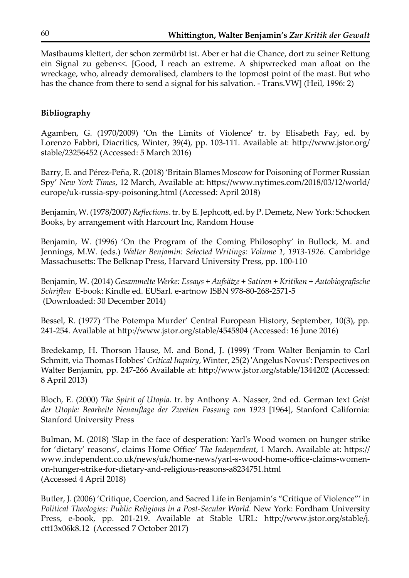Mastbaums klettert, der schon zermürbt ist. Aber er hat die Chance, dort zu seiner Rettung ein Signal zu geben<<. [Good, I reach an extreme. A shipwrecked man afloat on the wreckage, who, already demoralised, clambers to the topmost point of the mast. But who has the chance from there to send a signal for his salvation. - Trans.VW] (Heil, 1996: 2)

#### **Bibliography**

Agamben, G. (1970/2009) 'On the Limits of Violence' tr. by Elisabeth Fay, ed. by Lorenzo Fabbri, Diacritics, Winter, 39(4), pp. 103-111. Available at: http://www.jstor.org/ stable/23256452 (Accessed: 5 March 2016)

Barry, E. and Pérez-Peña, R. (2018) 'Britain Blames Moscow for Poisoning of Former Russian Spy' *New York Times*, 12 March, Available at: https://www.nytimes.com/2018/03/12/world/ europe/uk-russia-spy-poisoning.html (Accessed: April 2018)

Benjamin, W. (1978/2007) *Reflections*. tr. by E. Jephcott, ed. by P. Demetz, New York: Schocken Books, by arrangement with Harcourt Inc, Random House

Benjamin, W. (1996) 'On the Program of the Coming Philosophy' in Bullock, M. and Jennings, M.W. (eds.) *Walter Benjamin: Selected Writings: Volume 1, 1913-1926*. Cambridge Massachusetts: The Belknap Press, Harvard University Press, pp. 100-110

Benjamin, W. (2014) *Gesammelte Werke: Essays + Aufsätze + Satiren + Kritiken + Autobiografische Schriften* E-book: Kindle ed. EUSarl. e-artnow ISBN 978-80-268-2571-5 (Downloaded: 30 December 2014)

Bessel, R. (1977) 'The Potempa Murder' Central European History, September, 10(3), pp. 241-254. Available at http://www.jstor.org/stable/4545804 (Accessed: 16 June 2016)

Bredekamp, H. Thorson Hause, M. and Bond, J. (1999) 'From Walter Benjamin to Carl Schmitt, via Thomas Hobbes' *Critical Inquiry*, Winter, 25(2) 'Angelus Novus': Perspectives on Walter Benjamin, pp. 247-266 Available at: http://www.jstor.org/stable/1344202 (Accessed: 8 April 2013)

Bloch, E. (2000) *The Spirit of Utopia.* tr. by Anthony A. Nasser, 2nd ed. German text *Geist der Utopie: Bearbeite Neuauflage der Zweiten Fassung von 1923* [1964], Stanford California: Stanford University Press

Bulman, M. (2018) 'Slap in the face of desperation: Yarl's Wood women on hunger strike for 'dietary' reasons', claims Home Office' *The Independent*, 1 March. Available at: https:// www.independent.co.uk/news/uk/home-news/yarl-s-wood-home-office-claims-womenon-hunger-strike-for-dietary-and-religious-reasons-a8234751.html (Accessed 4 April 2018)

Butler, J. (2006) 'Critique, Coercion, and Sacred Life in Benjamin's "Critique of Violence"' in *Political Theologies: Public Religions in a Post-Secular World.* New York: Fordham University Press, e-book, pp. 201-219. Available at Stable URL: http://www.jstor.org/stable/j. ctt13x06k8.12 (Accessed 7 October 2017)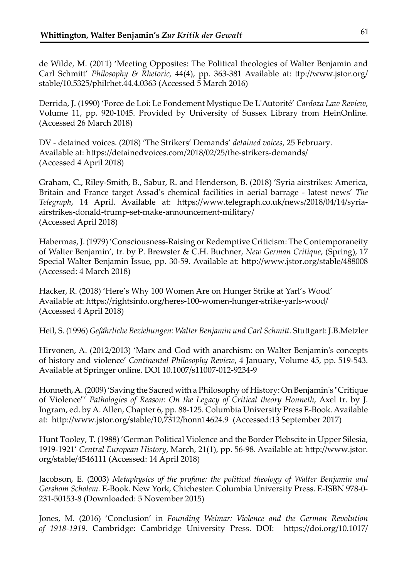de Wilde, M. (2011) 'Meeting Opposites: The Political theologies of Walter Benjamin and Carl Schmitt' *Philosophy & Rhetoric*, 44(4), pp. 363-381 Available at: ttp://www.jstor.org/ stable/10.5325/philrhet.44.4.0363 (Accessed 5 March 2016)

Derrida, J. (1990) 'Force de Loi: Le Fondement Mystique De L'Autorité' *Cardoza Law Review*, Volume 11, pp. 920-1045. Provided by University of Sussex Library from HeinOnline. (Accessed 26 March 2018)

DV - detained voices. (2018) 'The Strikers' Demands' *detained voices*, 25 February. Available at: https://detainedvoices.com/2018/02/25/the-strikers-demands/ (Accessed 4 April 2018)

Graham, C., Riley-Smith, B., Sabur, R. and Henderson, B. (2018) 'Syria airstrikes: America, Britain and France target Assad's chemical facilities in aerial barrage - latest news' *The Telegraph*, 14 April. Available at: https://www.telegraph.co.uk/news/2018/04/14/syriaairstrikes-donald-trump-set-make-announcement-military/ (Accessed April 2018)

Habermas, J. (1979) 'Consciousness-Raising or Redemptive Criticism: The Contemporaneity of Walter Benjamin', tr. by P. Brewster & C.H. Buchner, *New German Critique*, (Spring), 17 Special Walter Benjamin Issue, pp. 30-59. Available at: http://www.jstor.org/stable/488008 (Accessed: 4 March 2018)

Hacker, R. (2018) 'Here's Why 100 Women Are on Hunger Strike at Yarl's Wood' Available at: https://rightsinfo.org/heres-100-women-hunger-strike-yarls-wood/ (Accessed 4 April 2018)

Heil, S. (1996) *Gefährliche Beziehungen: Walter Benjamin und Carl Schmitt.* Stuttgart: J.B.Metzler

Hirvonen, A. (2012/2013) 'Marx and God with anarchism: on Walter Benjamin's concepts of history and violence' *Continental Philosophy Review*, 4 January, Volume 45, pp. 519-543. Available at Springer online. DOI 10.1007/s11007-012-9234-9

Honneth, A. (2009) 'Saving the Sacred with a Philosophy of History: On Benjamin's "Critique of Violence"' *Pathologies of Reason: On the Legacy of Critical theory Honneth*, Axel tr. by J. Ingram, ed. by A. Allen, Chapter 6, pp. 88-125. Columbia University Press E-Book. Available at: http://www.jstor.org/stable/10,7312/honn14624.9 (Accessed:13 September 2017)

Hunt Tooley, T. (1988) 'German Political Violence and the Border Plebscite in Upper Silesia, 1919-1921' *Central European History*, March, 21(1), pp. 56-98. Available at: http://www.jstor. org/stable/4546111 (Accessed: 14 April 2018)

Jacobson, E. (2003) *Metaphysics of the profane: the political theology of Walter Benjamin and Gershom Scholem.* E-Book. New York, Chichester: Columbia University Press. E-ISBN 978-0- 231-50153-8 (Downloaded: 5 November 2015)

Jones, M. (2016) 'Conclusion' in *Founding Weimar: Violence and the German Revolution of 1918-1919.* Cambridge: Cambridge University Press. DOI: https://doi.org/10.1017/